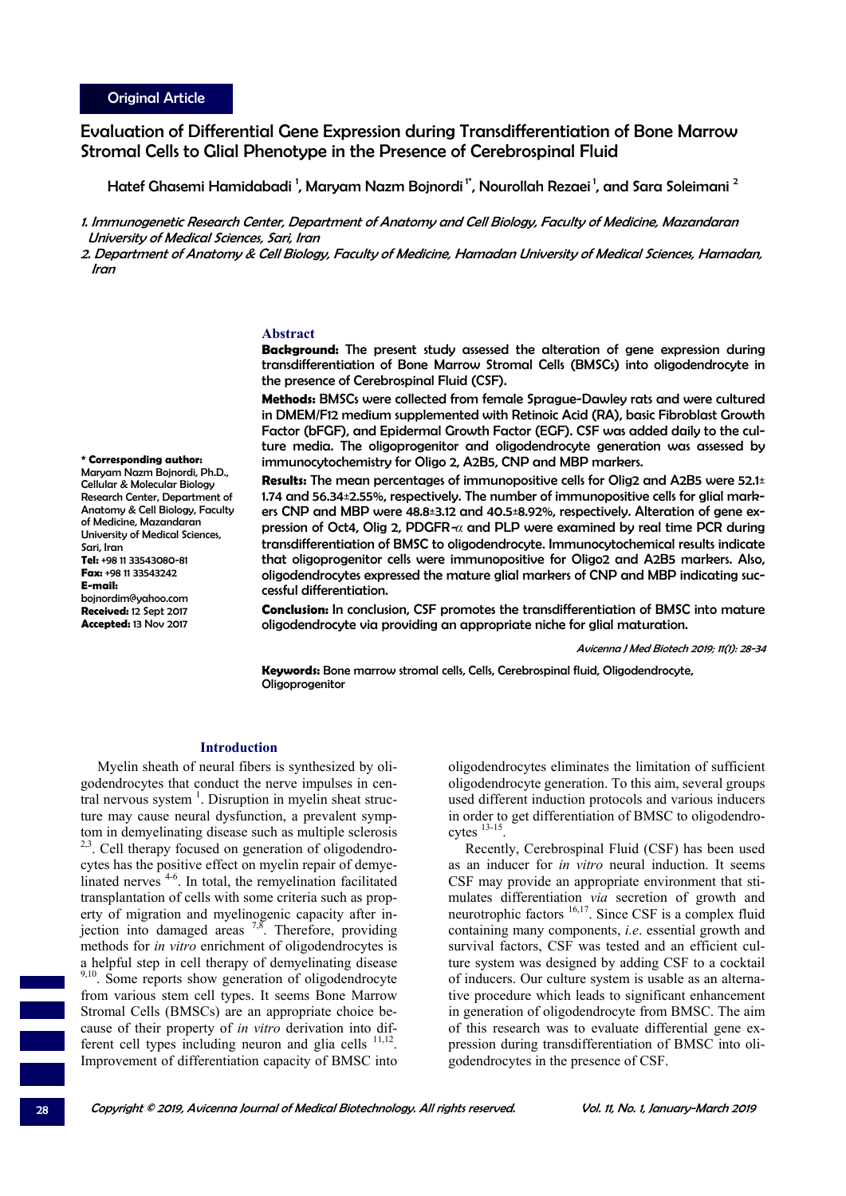Evaluation of Differential Gene Expression during Transdifferentiation of Bone Marrow Stromal Cells to Glial Phenotype in the Presence of Cerebrospinal Fluid

Hatef Ghasemi Hamidabadi <sup>1</sup>, Maryam Nazm Bojnordi <sup>1</sup>', Nourollah Rezaei <sup>1</sup>, and Sara Soleimani <sup>2</sup>

1. Immunogenetic Research Center, Department of Anatomy and Cell Biology, Faculty of Medicine, Mazandaran University of Medical Sciences, Sari, Iran

2. Department of Anatomy & Cell Biology, Faculty of Medicine, Hamadan University of Medical Sciences, Hamadan, Iran

# **Abstract**

**Background:** The present study assessed the alteration of gene expression during transdifferentiation of Bone Marrow Stromal Cells (BMSCs) into oligodendrocyte in the presence of Cerebrospinal Fluid (CSF).

**Methods:** BMSCs were collected from female Sprague-Dawley rats and were cultured in DMEM/F12 medium supplemented with Retinoic Acid (RA), basic Fibroblast Growth Factor (bFGF), and Epidermal Growth Factor (EGF). CSF was added daily to the culture media. The oligoprogenitor and oligodendrocyte generation was assessed by immunocytochemistry for Oligo 2, A2B5, CNP and MBP markers.

**Results:** The mean percentages of immunopositive cells for Olig2 and A2B5 were 52.1± 1.74 and 56.34±2.55%, respectively. The number of immunopositive cells for glial markers CNP and MBP were 48.8±3.12 and 40.5±8.92%, respectively. Alteration of gene expression of Oct4, Olig 2, PDGFR-*α* and PLP were examined by real time PCR during transdifferentiation of BMSC to oligodendrocyte. Immunocytochemical results indicate that oligoprogenitor cells were immunopositive for Oligo2 and A2B5 markers. Also, oligodendrocytes expressed the mature glial markers of CNP and MBP indicating successful differentiation.

**Conclusion:** In conclusion, CSF promotes the transdifferentiation of BMSC into mature oligodendrocyte via providing an appropriate niche for glial maturation.

Avicenna J Med Biotech 2019; 11(1): 28-34

**Keywords:** Bone marrow stromal cells, Cells, Cerebrospinal fluid, Oligodendrocyte, Oligoprogenitor

# **Introduction**

Myelin sheath of neural fibers is synthesized by oligodendrocytes that conduct the nerve impulses in central nervous system  $<sup>1</sup>$ . Disruption in myelin sheat struc-</sup> ture may cause neural dysfunction, a prevalent symptom in demyelinating disease such as multiple sclerosis <sup>2,3</sup>. Cell therapy focused on generation of oligodendrocytes has the positive effect on myelin repair of demyelinated nerves<sup>4-6</sup>. In total, the remyelination facilitated transplantation of cells with some criteria such as property of migration and myelinogenic capacity after injection into damaged areas  $^{7,8}$ . Therefore, providing methods for *in vitro* enrichment of oligodendrocytes is a helpful step in cell therapy of demyelinating disease <sup>9,10</sup>. Some reports show generation of oligodendrocyte from various stem cell types. It seems Bone Marrow Stromal Cells (BMSCs) are an appropriate choice because of their property of *in vitro* derivation into different cell types including neuron and glia cells  $11,12$ . Improvement of differentiation capacity of BMSC into

oligodendrocytes eliminates the limitation of sufficient oligodendrocyte generation. To this aim, several groups used different induction protocols and various inducers in order to get differentiation of BMSC to oligodendrocytes 13-15.

Recently, Cerebrospinal Fluid (CSF) has been used as an inducer for *in vitro* neural induction. It seems CSF may provide an appropriate environment that stimulates differentiation *via* secretion of growth and neurotrophic factors <sup>16,17</sup>. Since CSF is a complex fluid containing many components, *i.e*. essential growth and survival factors, CSF was tested and an efficient culture system was designed by adding CSF to a cocktail of inducers. Our culture system is usable as an alternative procedure which leads to significant enhancement in generation of oligodendrocyte from BMSC. The aim of this research was to evaluate differential gene expression during transdifferentiation of BMSC into oligodendrocytes in the presence of CSF.

**\* Corresponding author:**  Maryam Nazm Bojnordi, Ph.D., Cellular & Molecular Biology Research Center, Department of Anatomy & Cell Biology, Faculty of Medicine, Mazandaran University of Medical Sciences, Sari, Iran **Tel:** +98 11 33543080-81 **Fax:** +98 11 33543242 **E-mail:** bojnordim@yahoo.com **Received:** 12 Sept 2017 **Accepted:** 13 Nov 2017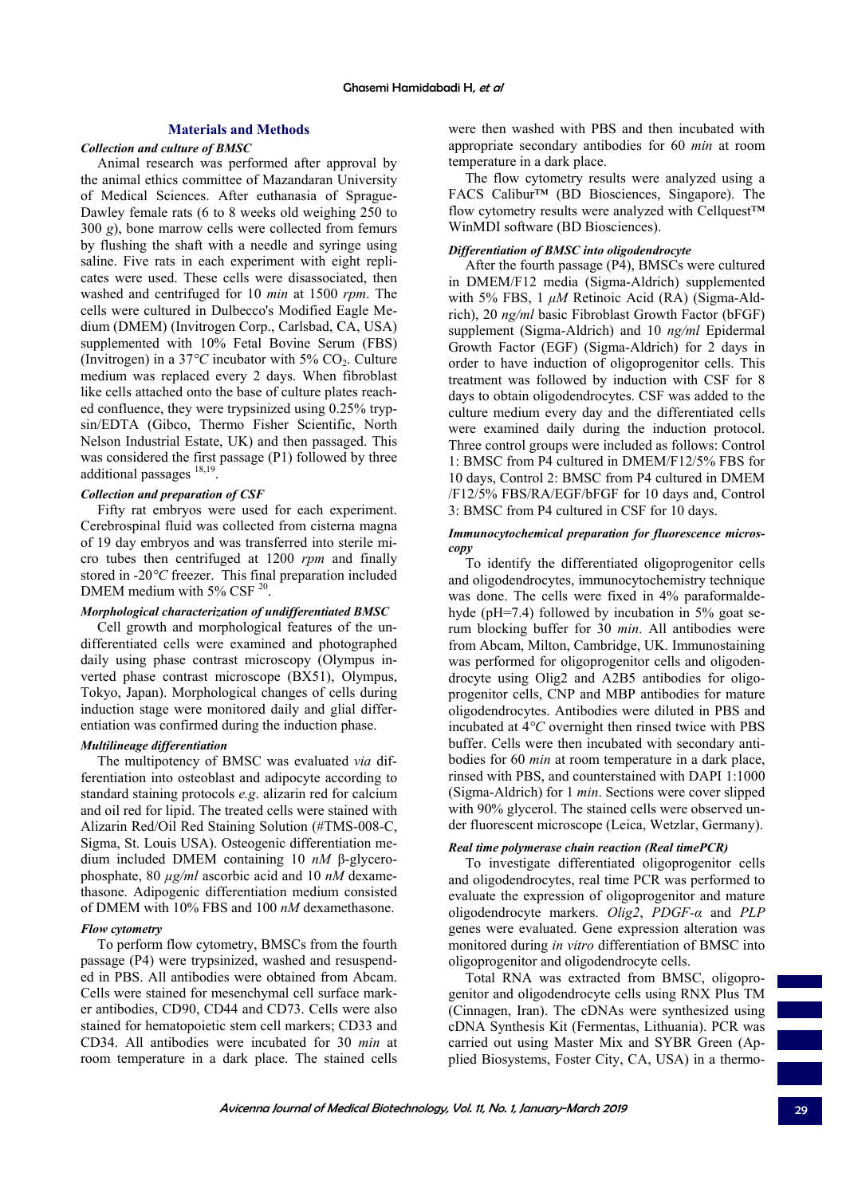# **Materials and Methods**

## *Collection and culture of BMSC*

Animal research was performed after approval by the animal ethics committee of Mazandaran University of Medical Sciences. After euthanasia of Sprague-Dawley female rats (6 to 8 weeks old weighing 250 to 300 *g*), bone marrow cells were collected from femurs by flushing the shaft with a needle and syringe using saline. Five rats in each experiment with eight replicates were used. These cells were disassociated, then washed and centrifuged for 10 *min* at 1500 *rpm*. The cells were cultured in Dulbecco's Modified Eagle Medium (DMEM) (Invitrogen Corp., Carlsbad, CA, USA) supplemented with 10% Fetal Bovine Serum (FBS) (Invitrogen) in a  $37^{\circ}$ C incubator with  $5\%$  CO<sub>2</sub>. Culture medium was replaced every 2 days. When fibroblast like cells attached onto the base of culture plates reached confluence, they were trypsinized using 0.25% trypsin/EDTA (Gibco, Thermo Fisher Scientific, North Nelson Industrial Estate, UK) and then passaged. This was considered the first passage (P1) followed by three additional passages<sup>18,19</sup>

# *Collection and preparation of CSF*

Fifty rat embryos were used for each experiment. Cerebrospinal fluid was collected from cisterna magna of 19 day embryos and was transferred into sterile micro tubes then centrifuged at 1200 *rpm* and finally stored in -20*°C* freezer. This final preparation included DMEM medium with  $5\%$  CSF  $^{20}$ .

# *Morphological characterization of undifferentiated BMSC*

Cell growth and morphological features of the undifferentiated cells were examined and photographed daily using phase contrast microscopy (Olympus inverted phase contrast microscope (BX51), Olympus, Tokyo, Japan). Morphological changes of cells during induction stage were monitored daily and glial differentiation was confirmed during the induction phase.

### *Multilineage differentiation*

The multipotency of BMSC was evaluated *via* differentiation into osteoblast and adipocyte according to standard staining protocols *e.g*. alizarin red for calcium and oil red for lipid. The treated cells were stained with Alizarin Red/Oil Red Staining Solution (#TMS-008-C, Sigma, St. Louis USA). Osteogenic differentiation medium included DMEM containing 10 *nM* β-glycerophosphate, 80 *µg/ml* ascorbic acid and 10 *nM* dexamethasone. Adipogenic differentiation medium consisted of DMEM with 10% FBS and 100 *nM* dexamethasone.

### *Flow cytometry*

To perform flow cytometry, BMSCs from the fourth passage (P4) were trypsinized, washed and resuspended in PBS. All antibodies were obtained from Abcam. Cells were stained for mesenchymal cell surface marker antibodies, CD90, CD44 and CD73. Cells were also stained for hematopoietic stem cell markers; CD33 and CD34. All antibodies were incubated for 30 *min* at room temperature in a dark place. The stained cells were then washed with PBS and then incubated with appropriate secondary antibodies for 60 *min* at room temperature in a dark place.

The flow cytometry results were analyzed using a FACS Calibur™ (BD Biosciences, Singapore). The flow cytometry results were analyzed with Cellquest™ WinMDI software (BD Biosciences).

### *Differentiation of BMSC into oligodendrocyte*

After the fourth passage (P4), BMSCs were cultured in DMEM/F12 media (Sigma-Aldrich) supplemented with 5% FBS, 1 *μM* Retinoic Acid (RA) (Sigma-Aldrich), 20 *ng/ml* basic Fibroblast Growth Factor (bFGF) supplement (Sigma-Aldrich) and 10 *ng/ml* Epidermal Growth Factor (EGF) (Sigma-Aldrich) for 2 days in order to have induction of oligoprogenitor cells. This treatment was followed by induction with CSF for 8 days to obtain oligodendrocytes. CSF was added to the culture medium every day and the differentiated cells were examined daily during the induction protocol. Three control groups were included as follows: Control 1: BMSC from P4 cultured in DMEM/F12/5% FBS for 10 days, Control 2: BMSC from P4 cultured in DMEM /F12/5% FBS/RA/EGF/bFGF for 10 days and, Control 3: BMSC from P4 cultured in CSF for 10 days.

## *Immunocytochemical preparation for fluorescence microscopy*

To identify the differentiated oligoprogenitor cells and oligodendrocytes, immunocytochemistry technique was done. The cells were fixed in 4% paraformaldehyde (pH=7.4) followed by incubation in 5% goat serum blocking buffer for 30 *min*. All antibodies were from Abcam, Milton, Cambridge, UK. Immunostaining was performed for oligoprogenitor cells and oligodendrocyte using Olig2 and A2B5 antibodies for oligoprogenitor cells, CNP and MBP antibodies for mature oligodendrocytes. Antibodies were diluted in PBS and incubated at 4*°C* overnight then rinsed twice with PBS buffer. Cells were then incubated with secondary antibodies for 60 *min* at room temperature in a dark place, rinsed with PBS, and counterstained with DAPI 1:1000 (Sigma-Aldrich) for 1 *min*. Sections were cover slipped with 90% glycerol. The stained cells were observed under fluorescent microscope (Leica, Wetzlar, Germany).

# *Real time polymerase chain reaction (Real timePCR)*

To investigate differentiated oligoprogenitor cells and oligodendrocytes, real time PCR was performed to evaluate the expression of oligoprogenitor and mature oligodendrocyte markers. *Olig2*, *PDGF-α* and *PLP* genes were evaluated. Gene expression alteration was monitored during *in vitro* differentiation of BMSC into oligoprogenitor and oligodendrocyte cells.

Total RNA was extracted from BMSC, oligoprogenitor and oligodendrocyte cells using RNX Plus TM (Cinnagen, Iran). The cDNAs were synthesized using cDNA Synthesis Kit (Fermentas, Lithuania). PCR was carried out using Master Mix and SYBR Green (Applied Biosystems, Foster City, CA, USA) in a thermo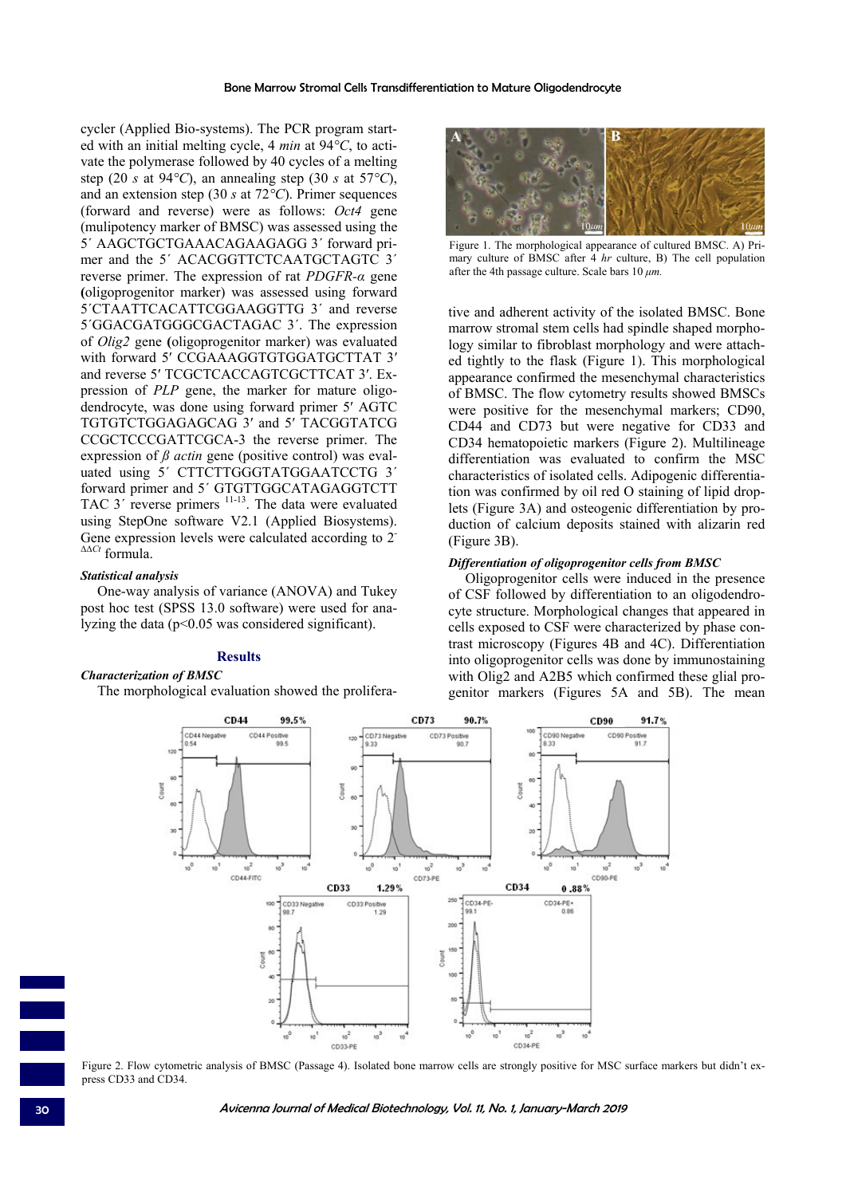cycler (Applied Bio-systems). The PCR program started with an initial melting cycle, 4 *min* at 94*°C*, to activate the polymerase followed by 40 cycles of a melting step (20 *s* at 94*°C*), an annealing step (30 *s* at 57*°C*), and an extension step (30 *s* at 72*°C*). Primer sequences (forward and reverse) were as follows: *Oct4* gene (mulipotency marker of BMSC) was assessed using the 5´ AAGCTGCTGAAACAGAAGAGG 3´ forward primer and the 5<sup>'</sup> ACACGGTTCTCAATGCTAGTC 3<sup>'</sup> reverse primer. The expression of rat *PDGFR-α* gene **(**oligoprogenitor marker) was assessed using forward 5´CTAATTCACATTCGGAAGGTTG 3´ and reverse 5´GGACGATGGGCGACTAGAC 3´. The expression of *Olig2* gene **(**oligoprogenitor marker) was evaluated with forward 5' CCGAAAGGTGTGGATGCTTAT 3' and reverse 5′ TCGCTCACCAGTCGCTTCAT 3′. Expression of *PLP* gene, the marker for mature oligodendrocyte, was done using forward primer 5′ AGTC TGTGTCTGGAGAGCAG 3′ and 5′ TACGGTATCG CCGCTCCCGATTCGCA-3 the reverse primer. The expression of *ß actin* gene (positive control) was evaluated using 5' CTTCTTGGGTATGGAATCCTG 3' forward primer and 5´ GTGTTGGCATAGAGGTCTT TAC  $3'$  reverse primers  $11-13$ . The data were evaluated using StepOne software V2.1 (Applied Biosystems). Gene expression levels were calculated according to 2<sup>-</sup> ΔΔ*Ct* formula.

### *Statistical analysis*

One-way analysis of variance (ANOVA) and Tukey post hoc test (SPSS 13.0 software) were used for analyzing the data ( $p<0.05$  was considered significant).

# **Results**

# *Characterization of BMSC*

The morphological evaluation showed the prolifera-



Figure 1. The morphological appearance of cultured BMSC. A) Primary culture of BMSC after 4 *hr* culture, B) The cell population after the 4th passage culture. Scale bars 10 *μm.*

tive and adherent activity of the isolated BMSC. Bone marrow stromal stem cells had spindle shaped morphology similar to fibroblast morphology and were attached tightly to the flask (Figure 1). This morphological appearance confirmed the mesenchymal characteristics of BMSC. The flow cytometry results showed BMSCs were positive for the mesenchymal markers; CD90, CD44 and CD73 but were negative for CD33 and CD34 hematopoietic markers (Figure 2). Multilineage differentiation was evaluated to confirm the MSC characteristics of isolated cells. Adipogenic differentiation was confirmed by oil red O staining of lipid droplets (Figure 3A) and osteogenic differentiation by production of calcium deposits stained with alizarin red (Figure 3B).

## *Differentiation of oligoprogenitor cells from BMSC*

Oligoprogenitor cells were induced in the presence of CSF followed by differentiation to an oligodendrocyte structure. Morphological changes that appeared in cells exposed to CSF were characterized by phase contrast microscopy (Figures 4B and 4C). Differentiation into oligoprogenitor cells was done by immunostaining with Olig2 and A2B5 which confirmed these glial progenitor markers (Figures 5A and 5B). The mean



Figure 2. Flow cytometric analysis of BMSC (Passage 4). Isolated bone marrow cells are strongly positive for MSC surface markers but didn't express CD33 and CD34.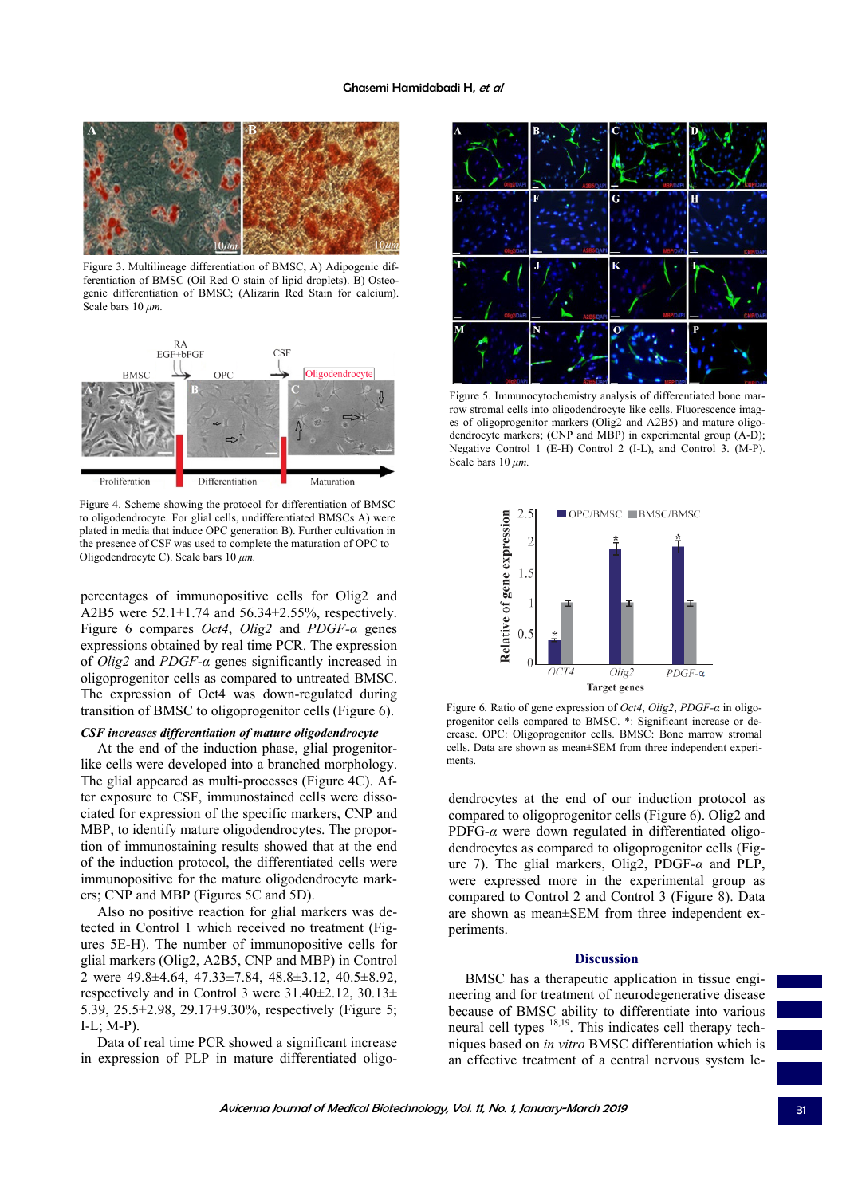

Figure 3. Multilineage differentiation of BMSC, A) Adipogenic differentiation of BMSC (Oil Red O stain of lipid droplets). B) Osteogenic differentiation of BMSC; (Alizarin Red Stain for calcium). Scale bars 10 *μm.*



Figure 4. Scheme showing the protocol for differentiation of BMSC to oligodendrocyte. For glial cells, undifferentiated BMSCs A) were plated in media that induce OPC generation B). Further cultivation in the presence of CSF was used to complete the maturation of OPC to Oligodendrocyte C). Scale bars 10 *μm.*

percentages of immunopositive cells for Olig2 and A2B5 were 52.1±1.74 and 56.34±2.55%, respectively. Figure 6 compares *Oct4*, *Olig2* and *PDGF-α* genes expressions obtained by real time PCR. The expression of *Olig2* and *PDGF-α* genes significantly increased in oligoprogenitor cells as compared to untreated BMSC. The expression of Oct4 was down-regulated during transition of BMSC to oligoprogenitor cells (Figure 6).

#### *CSF increases differentiation of mature oligodendrocyte*

At the end of the induction phase, glial progenitorlike cells were developed into a branched morphology. The glial appeared as multi-processes (Figure 4C). After exposure to CSF, immunostained cells were dissociated for expression of the specific markers, CNP and MBP, to identify mature oligodendrocytes. The proportion of immunostaining results showed that at the end of the induction protocol, the differentiated cells were immunopositive for the mature oligodendrocyte markers; CNP and MBP (Figures 5C and 5D).

Also no positive reaction for glial markers was detected in Control 1 which received no treatment (Figures 5E-H). The number of immunopositive cells for glial markers (Olig2, A2B5, CNP and MBP) in Control 2 were 49.8±4.64, 47.33±7.84, 48.8±3.12, 40.5±8.92, respectively and in Control 3 were  $31.40\pm2.12$ ,  $30.13\pm$ 5.39, 25.5±2.98, 29.17±9.30%, respectively (Figure 5; I-L; M-P).

Data of real time PCR showed a significant increase in expression of PLP in mature differentiated oligo-



Figure 5. Immunocytochemistry analysis of differentiated bone marrow stromal cells into oligodendrocyte like cells. Fluorescence images of oligoprogenitor markers (Olig2 and A2B5) and mature oligodendrocyte markers; (CNP and MBP) in experimental group (A-D); Negative Control 1 (E-H) Control 2 (I-L), and Control 3. (M-P). Scale bars 10 *μm.*



Figure 6*.* Ratio of gene expression of *Oct4*, *Olig2*, *PDGF-α* in oligoprogenitor cells compared to BMSC. \*: Significant increase or decrease. OPC: Oligoprogenitor cells. BMSC: Bone marrow stromal cells. Data are shown as mean±SEM from three independent experiments.

dendrocytes at the end of our induction protocol as compared to oligoprogenitor cells (Figure 6). Olig2 and PDFG*-α* were down regulated in differentiated oligodendrocytes as compared to oligoprogenitor cells (Figure 7). The glial markers, Olig2, PDGF*-α* and PLP, were expressed more in the experimental group as compared to Control 2 and Control 3 (Figure 8). Data are shown as mean±SEM from three independent experiments.

### **Discussion**

BMSC has a therapeutic application in tissue engineering and for treatment of neurodegenerative disease because of BMSC ability to differentiate into various neural cell types  $18,19$ . This indicates cell therapy techniques based on *in vitro* BMSC differentiation which is an effective treatment of a central nervous system le-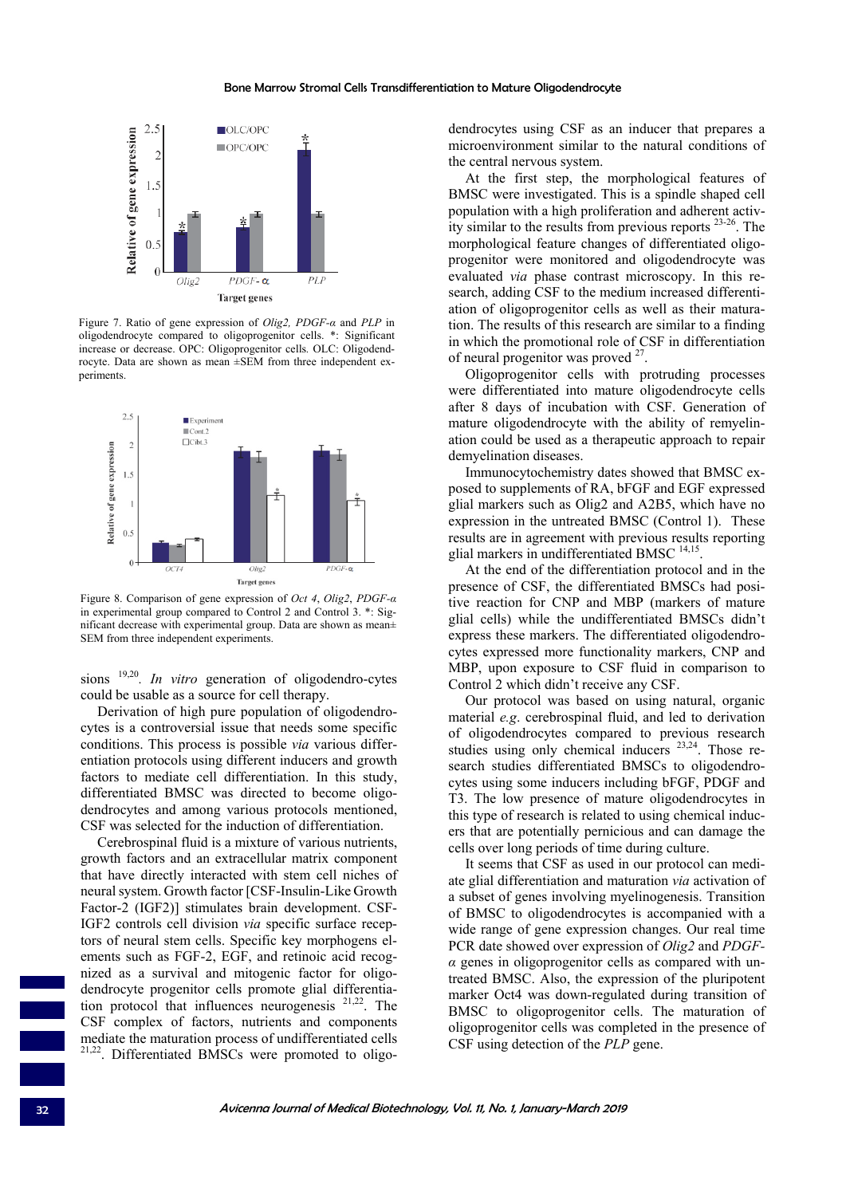## Bone Marrow Stromal Cells Transdifferentiation to Mature Oligodendrocyte



Figure 7. Ratio of gene expression of *Olig2, PDGF-α* and *PLP* in oligodendrocyte compared to oligoprogenitor cells. \*: Significant increase or decrease. OPC: Oligoprogenitor cells*.* OLC: Oligodendrocyte. Data are shown as mean ±SEM from three independent experiments.



Figure 8. Comparison of gene expression of *Oct 4*, *Olig2*, *PDGF-α* in experimental group compared to Control 2 and Control 3. \*: Significant decrease with experimental group. Data are shown as mean± SEM from three independent experiments.

sions 19,20*. In vitro* generation of oligodendro-cytes could be usable as a source for cell therapy.

Derivation of high pure population of oligodendrocytes is a controversial issue that needs some specific conditions. This process is possible *via* various differentiation protocols using different inducers and growth factors to mediate cell differentiation. In this study, differentiated BMSC was directed to become oligodendrocytes and among various protocols mentioned, CSF was selected for the induction of differentiation.

Cerebrospinal fluid is a mixture of various nutrients, growth factors and an extracellular matrix component that have directly interacted with stem cell niches of neural system. Growth factor [CSF-Insulin-Like Growth Factor-2 (IGF2)] stimulates brain development. CSF-IGF2 controls cell division *via* specific surface receptors of neural stem cells. Specific key morphogens elements such as FGF-2, EGF, and retinoic acid recognized as a survival and mitogenic factor for oligodendrocyte progenitor cells promote glial differentiation protocol that influences neurogenesis 21,22. The CSF complex of factors, nutrients and components mediate the maturation process of undifferentiated cells 21,22. Differentiated BMSCs were promoted to oligodendrocytes using CSF as an inducer that prepares a microenvironment similar to the natural conditions of the central nervous system.

At the first step, the morphological features of BMSC were investigated. This is a spindle shaped cell population with a high proliferation and adherent activity similar to the results from previous reports 23-26. The morphological feature changes of differentiated oligoprogenitor were monitored and oligodendrocyte was evaluated *via* phase contrast microscopy. In this research, adding CSF to the medium increased differentiation of oligoprogenitor cells as well as their maturation. The results of this research are similar to a finding in which the promotional role of CSF in differentiation of neural progenitor was proved <sup>27</sup>.

Oligoprogenitor cells with protruding processes were differentiated into mature oligodendrocyte cells after 8 days of incubation with CSF. Generation of mature oligodendrocyte with the ability of remyelination could be used as a therapeutic approach to repair demyelination diseases.

Immunocytochemistry dates showed that BMSC exposed to supplements of RA, bFGF and EGF expressed glial markers such as Olig2 and A2B5, which have no expression in the untreated BMSC (Control 1). These results are in agreement with previous results reporting glial markers in undifferentiated BMSC <sup>14,15</sup>.

At the end of the differentiation protocol and in the presence of CSF, the differentiated BMSCs had positive reaction for CNP and MBP (markers of mature glial cells) while the undifferentiated BMSCs didn't express these markers. The differentiated oligodendrocytes expressed more functionality markers, CNP and MBP, upon exposure to CSF fluid in comparison to Control 2 which didn't receive any CSF.

Our protocol was based on using natural, organic material *e.g*. cerebrospinal fluid, and led to derivation of oligodendrocytes compared to previous research studies using only chemical inducers <sup>23,24</sup>. Those research studies differentiated BMSCs to oligodendrocytes using some inducers including bFGF, PDGF and T3. The low presence of mature oligodendrocytes in this type of research is related to using chemical inducers that are potentially pernicious and can damage the cells over long periods of time during culture.

It seems that CSF as used in our protocol can mediate glial differentiation and maturation *via* activation of a subset of genes involving myelinogenesis. Transition of BMSC to oligodendrocytes is accompanied with a wide range of gene expression changes. Our real time PCR date showed over expression of *Olig2* and *PDGFα* genes in oligoprogenitor cells as compared with untreated BMSC. Also, the expression of the pluripotent marker Oct4 was down-regulated during transition of BMSC to oligoprogenitor cells. The maturation of oligoprogenitor cells was completed in the presence of CSF using detection of the *PLP* gene.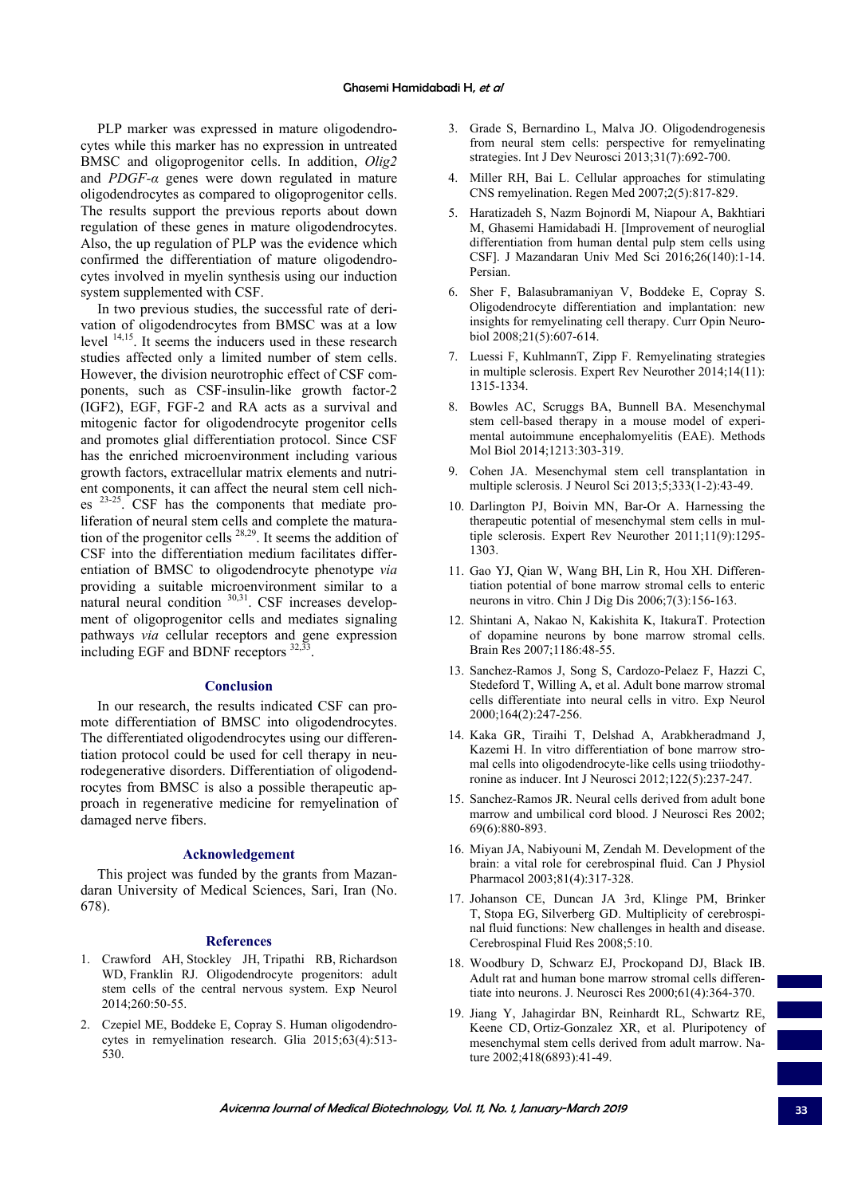PLP marker was expressed in mature oligodendrocytes while this marker has no expression in untreated BMSC and oligoprogenitor cells. In addition, *Olig2* and *PDGF-α* genes were down regulated in mature oligodendrocytes as compared to oligoprogenitor cells. The results support the previous reports about down regulation of these genes in mature oligodendrocytes. Also, the up regulation of PLP was the evidence which confirmed the differentiation of mature oligodendrocytes involved in myelin synthesis using our induction system supplemented with CSF.

In two previous studies, the successful rate of derivation of oligodendrocytes from BMSC was at a low level 14,15. It seems the inducers used in these research studies affected only a limited number of stem cells. However, the division neurotrophic effect of CSF components, such as CSF-insulin-like growth factor-2 (IGF2), EGF, FGF-2 and RA acts as a survival and mitogenic factor for oligodendrocyte progenitor cells and promotes glial differentiation protocol. Since CSF has the enriched microenvironment including various growth factors, extracellular matrix elements and nutrient components, it can affect the neural stem cell niches 23-25. CSF has the components that mediate proliferation of neural stem cells and complete the maturation of the progenitor cells  $28,29$ . It seems the addition of CSF into the differentiation medium facilitates differentiation of BMSC to oligodendrocyte phenotype *via*  providing a suitable microenvironment similar to a natural neural condition  $30,31$ . CSF increases development of oligoprogenitor cells and mediates signaling pathways *via* cellular receptors and gene expression including EGF and BDNF receptors <sup>32,33</sup>

## **Conclusion**

In our research, the results indicated CSF can promote differentiation of BMSC into oligodendrocytes. The differentiated oligodendrocytes using our differentiation protocol could be used for cell therapy in neurodegenerative disorders. Differentiation of oligodendrocytes from BMSC is also a possible therapeutic approach in regenerative medicine for remyelination of damaged nerve fibers.

### **Acknowledgement**

This project was funded by the grants from Mazandaran University of Medical Sciences, Sari, Iran (No. 678).

### **References**

- 1. Crawford AH, Stockley JH, Tripathi RB, Richardson WD, Franklin RJ. Oligodendrocyte progenitors: adult stem cells of the central nervous system. Exp Neurol 2014;260:50-55.
- 2. Czepiel ME, Boddeke E, Copray S. Human oligodendrocytes in remyelination research. Glia 2015;63(4):513- 530.
- 3. Grade S, Bernardino L, Malva JO. Oligodendrogenesis from neural stem cells: perspective for remyelinating strategies. Int J Dev Neurosci 2013;31(7):692-700.
- 4. Miller RH, Bai L. Cellular approaches for stimulating CNS remyelination. Regen Med 2007;2(5):817-829.
- 5. Haratizadeh S, Nazm Bojnordi M, Niapour A, Bakhtiari M, Ghasemi Hamidabadi H. [Improvement of neuroglial differentiation from human dental pulp stem cells using CSF]. J Mazandaran Univ Med Sci 2016;26(140):1-14. Persian.
- 6. Sher F, Balasubramaniyan V, Boddeke E, Copray S. Oligodendrocyte differentiation and implantation: new insights for remyelinating cell therapy. Curr Opin Neurobiol 2008;21(5):607-614.
- 7. Luessi F, KuhlmannT, Zipp F. Remyelinating strategies in multiple sclerosis. Expert Rev Neurother 2014;14(11): 1315-1334.
- 8. Bowles AC, Scruggs BA, Bunnell BA. Mesenchymal stem cell-based therapy in a mouse model of experimental autoimmune encephalomyelitis (EAE). Methods Mol Biol 2014;1213:303-319.
- 9. Cohen JA. Mesenchymal stem cell transplantation in multiple sclerosis. J Neurol Sci 2013;5;333(1-2):43-49.
- 10. Darlington PJ, Boivin MN, Bar-Or A. Harnessing the therapeutic potential of mesenchymal stem cells in multiple sclerosis. Expert Rev Neurother 2011;11(9):1295- 1303.
- 11. Gao YJ, Qian W, Wang BH, Lin R, Hou XH. Differentiation potential of bone marrow stromal cells to enteric neurons in vitro. Chin J Dig Dis 2006;7(3):156-163.
- 12. Shintani A, Nakao N, Kakishita K, ItakuraT. Protection of dopamine neurons by bone marrow stromal cells. Brain Res 2007;1186:48-55.
- 13. Sanchez-Ramos J, Song S, Cardozo-Pelaez F, Hazzi C, Stedeford T, Willing A, et al. Adult bone marrow stromal cells differentiate into neural cells in vitro. Exp Neurol 2000;164(2):247-256.
- 14. Kaka GR, Tiraihi T, Delshad A, Arabkheradmand J, Kazemi H. In vitro differentiation of bone marrow stromal cells into oligodendrocyte-like cells using triiodothyronine as inducer. Int J Neurosci 2012;122(5):237-247.
- 15. Sanchez-Ramos JR. Neural cells derived from adult bone marrow and umbilical cord blood. J Neurosci Res 2002; 69(6):880-893.
- 16. Miyan JA, Nabiyouni M, Zendah M. Development of the brain: a vital role for cerebrospinal fluid. Can J Physiol Pharmacol 2003;81(4):317-328.
- 17. Johanson CE, Duncan JA 3rd, Klinge PM, Brinker T, Stopa EG, Silverberg GD. Multiplicity of cerebrospinal fluid functions: New challenges in health and disease. Cerebrospinal Fluid Res 2008;5:10.
- 18. Woodbury D, Schwarz EJ, Prockopand DJ, Black IB. Adult rat and human bone marrow stromal cells differentiate into neurons. J. Neurosci Res 2000;61(4):364-370.
- 19. Jiang Y, Jahagirdar BN, Reinhardt RL, Schwartz RE, Keene CD, Ortiz-Gonzalez XR, et al. Pluripotency of mesenchymal stem cells derived from adult marrow. Nature 2002;418(6893):41-49.

Avicenna Journal of Medical Biotechnology, Vol. 11, No. 1, January-March 2019 **33**